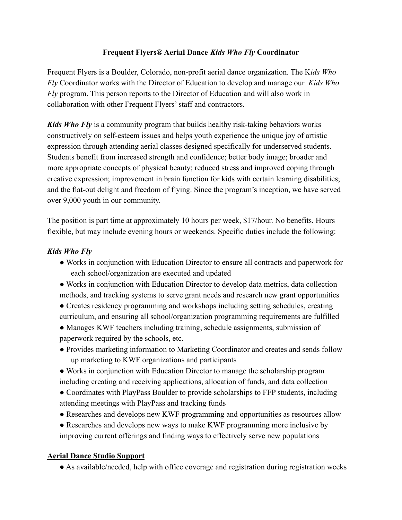## **Frequent Flyers® Aerial Dance** *Kids Who Fly* **Coordinator**

Frequent Flyers is a Boulder, Colorado, non-profit aerial dance organization. The K*ids Who Fly* Coordinator works with the Director of Education to develop and manage our *Kids Who Fly* program. This person reports to the Director of Education and will also work in collaboration with other Frequent Flyers' staff and contractors.

*Kids Who Fly* is a community program that builds healthy risk-taking behaviors works constructively on self-esteem issues and helps youth experience the unique joy of artistic expression through attending aerial classes designed specifically for underserved students. Students benefit from increased strength and confidence; better body image; broader and more appropriate concepts of physical beauty; reduced stress and improved coping through creative expression; improvement in brain function for kids with certain learning disabilities; and the flat-out delight and freedom of flying. Since the program's inception, we have served over 9,000 youth in our community.

The position is part time at approximately 10 hours per week, \$17/hour. No benefits. Hours flexible, but may include evening hours or weekends. Specific duties include the following:

# *Kids Who Fly*

- Works in conjunction with Education Director to ensure all contracts and paperwork for each school/organization are executed and updated
- Works in conjunction with Education Director to develop data metrics, data collection methods, and tracking systems to serve grant needs and research new grant opportunities
- Creates residency programming and workshops including setting schedules, creating curriculum, and ensuring all school/organization programming requirements are fulfilled
- Manages KWF teachers including training, schedule assignments, submission of paperwork required by the schools, etc.
- Provides marketing information to Marketing Coordinator and creates and sends follow up marketing to KWF organizations and participants
- Works in conjunction with Education Director to manage the scholarship program including creating and receiving applications, allocation of funds, and data collection
- Coordinates with PlayPass Boulder to provide scholarships to FFP students, including attending meetings with PlayPass and tracking funds
- Researches and develops new KWF programming and opportunities as resources allow
- Researches and develops new ways to make KWF programming more inclusive by improving current offerings and finding ways to effectively serve new populations

# **Aerial Dance Studio Support**

● As available/needed, help with office coverage and registration during registration weeks